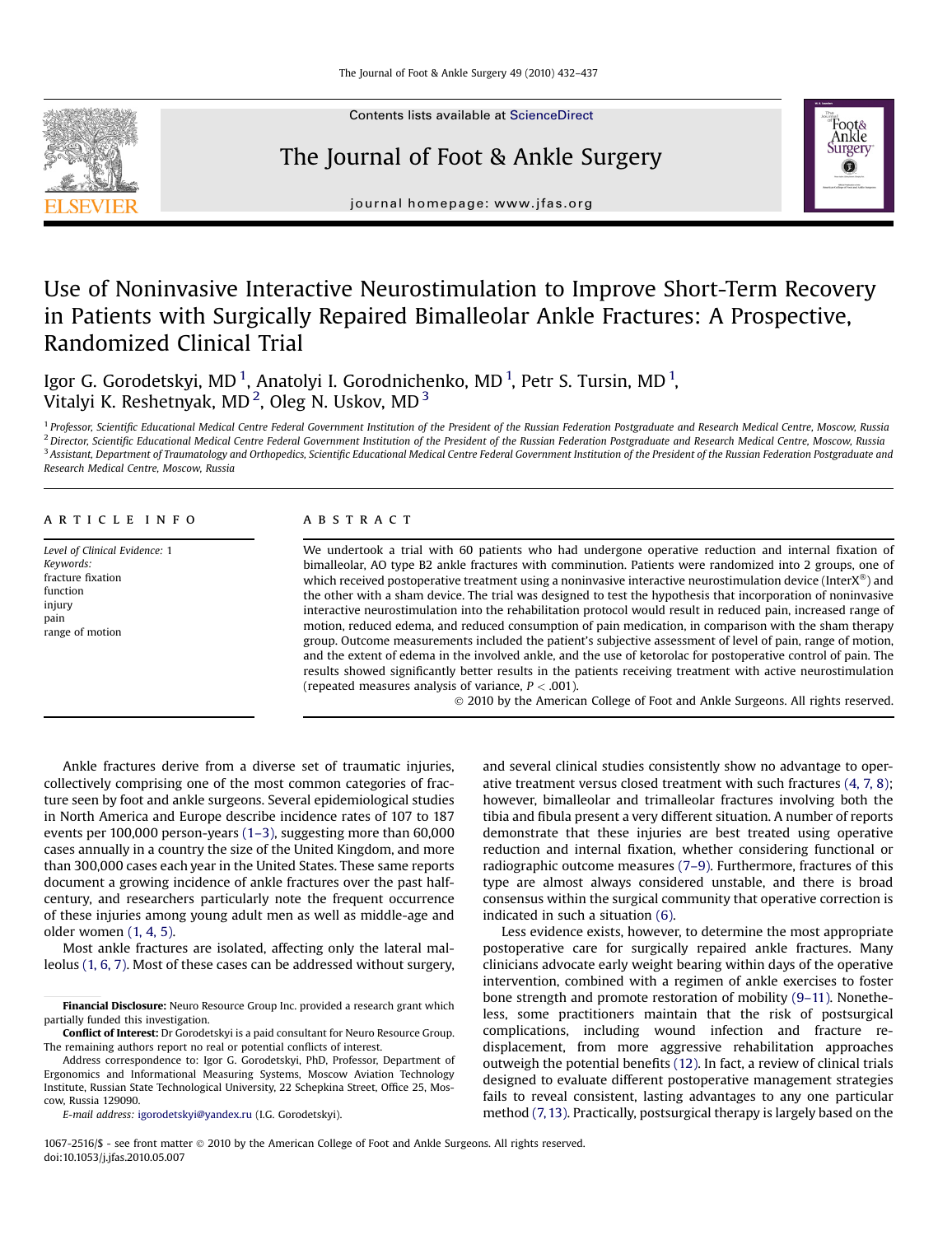Contents lists available at [ScienceDirect](www.sciencedirect.com/science/journal/10672516)

## The Journal of Foot & Ankle Surgery



journal homepage: [www.jfas.org](http://www.jfas.org)

# Use of Noninvasive Interactive Neurostimulation to Improve Short-Term Recovery in Patients with Surgically Repaired Bimalleolar Ankle Fractures: A Prospective, Randomized Clinical Trial

Igor G. Gorodetskyi, MD  $^1$ , Anatolyi I. Gorodnichenko, MD  $^1$ , Petr S. Tursin, MD  $^1$ , Vitalyi K. Reshetnyak, MD<sup>2</sup>, Oleg N. Uskov, MD<sup>3</sup>

<sup>1</sup> Professor, Scientific Educational Medical Centre Federal Government Institution of the President of the Russian Federation Postgraduate and Research Medical Centre, Moscow, Russia <sup>2</sup> Director, Scientific Educational Medical Centre Federal Government Institution of the President of the Russian Federation Postgraduate and Research Medical Centre, Moscow, Russia  $3$  Assistant, Department of Traumatology and Orthopedics, Scientific Educational Medical Centre Federal Government Institution of the President of the Russian Federation Postgraduate and Research Medical Centre, Moscow, Russia

## article info

Level of Clinical Evidence: 1 Keywords: fracture fixation function injury pain range of motion

## **ABSTRACT**

We undertook a trial with 60 patients who had undergone operative reduction and internal fixation of bimalleolar, AO type B2 ankle fractures with comminution. Patients were randomized into 2 groups, one of which received postoperative treatment using a noninvasive interactive neurostimulation device (InterX®) and the other with a sham device. The trial was designed to test the hypothesis that incorporation of noninvasive interactive neurostimulation into the rehabilitation protocol would result in reduced pain, increased range of motion, reduced edema, and reduced consumption of pain medication, in comparison with the sham therapy group. Outcome measurements included the patient's subjective assessment of level of pain, range of motion, and the extent of edema in the involved ankle, and the use of ketorolac for postoperative control of pain. The results showed significantly better results in the patients receiving treatment with active neurostimulation (repeated measures analysis of variance,  $P < .001$ ).

2010 by the American College of Foot and Ankle Surgeons. All rights reserved.

Ankle fractures derive from a diverse set of traumatic injuries, collectively comprising one of the most common categories of fracture seen by foot and ankle surgeons. Several epidemiological studies in North America and Europe describe incidence rates of 107 to 187 events per 100,000 person-years [\(1–3\),](#page-5-0) suggesting more than 60,000 cases annually in a country the size of the United Kingdom, and more than 300,000 cases each year in the United States. These same reports document a growing incidence of ankle fractures over the past halfcentury, and researchers particularly note the frequent occurrence of these injuries among young adult men as well as middle-age and older women [\(1, 4, 5\)](#page-5-0).

Most ankle fractures are isolated, affecting only the lateral malleolus [\(1, 6, 7\)](#page-5-0). Most of these cases can be addressed without surgery,

E-mail address: [igorodetskyi@yandex.ru](mailto:igorodetskyi@yandex.ru) (I.G. Gorodetskyi).

and several clinical studies consistently show no advantage to operative treatment versus closed treatment with such fractures [\(4, 7, 8\)](#page-5-0); however, bimalleolar and trimalleolar fractures involving both the tibia and fibula present a very different situation. A number of reports demonstrate that these injuries are best treated using operative reduction and internal fixation, whether considering functional or radiographic outcome measures [\(7–9\)](#page-5-0). Furthermore, fractures of this type are almost always considered unstable, and there is broad consensus within the surgical community that operative correction is indicated in such a situation [\(6\).](#page-5-0)

Less evidence exists, however, to determine the most appropriate postoperative care for surgically repaired ankle fractures. Many clinicians advocate early weight bearing within days of the operative intervention, combined with a regimen of ankle exercises to foster bone strength and promote restoration of mobility [\(9–11\)](#page-5-0). Nonetheless, some practitioners maintain that the risk of postsurgical complications, including wound infection and fracture redisplacement, from more aggressive rehabilitation approaches outweigh the potential benefits [\(12\)](#page-5-0). In fact, a review of clinical trials designed to evaluate different postoperative management strategies fails to reveal consistent, lasting advantages to any one particular method [\(7, 13\)](#page-5-0). Practically, postsurgical therapy is largely based on the

1067-2516/\$ - see front matter  $\circ$  2010 by the American College of Foot and Ankle Surgeons. All rights reserved. doi:10.1053/j.jfas.2010.05.007

Financial Disclosure: Neuro Resource Group Inc. provided a research grant which partially funded this investigation.

Conflict of Interest: Dr Gorodetskyi is a paid consultant for Neuro Resource Group. The remaining authors report no real or potential conflicts of interest.

Address correspondence to: Igor G. Gorodetskyi, PhD, Professor, Department of Ergonomics and Informational Measuring Systems, Moscow Aviation Technology Institute, Russian State Technological University, 22 Schepkina Street, Office 25, Moscow, Russia 129090.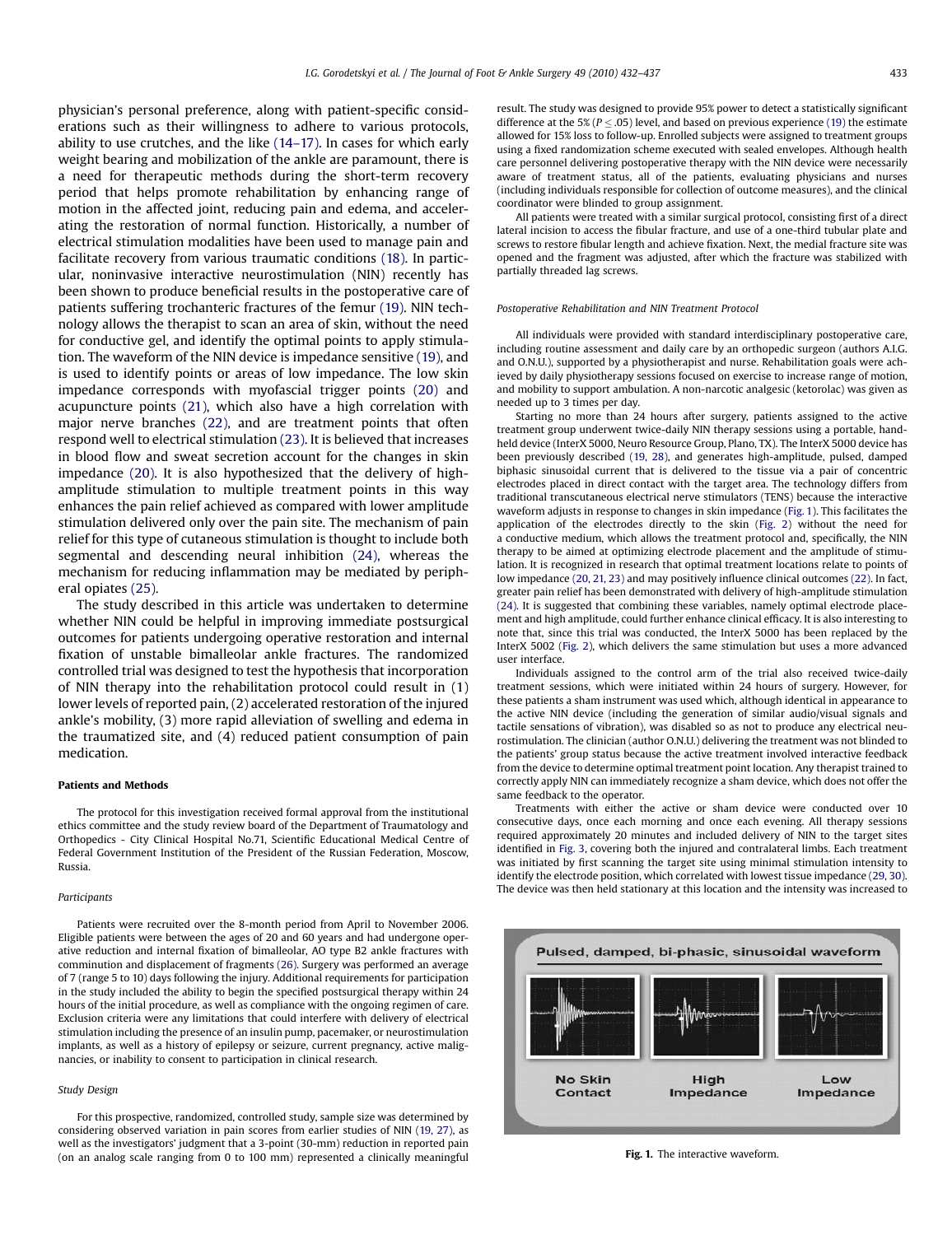physician's personal preference, along with patient-specific considerations such as their willingness to adhere to various protocols, ability to use crutches, and the like [\(14–17\)](#page-5-0). In cases for which early weight bearing and mobilization of the ankle are paramount, there is a need for therapeutic methods during the short-term recovery period that helps promote rehabilitation by enhancing range of motion in the affected joint, reducing pain and edema, and accelerating the restoration of normal function. Historically, a number of electrical stimulation modalities have been used to manage pain and facilitate recovery from various traumatic conditions [\(18\).](#page-5-0) In particular, noninvasive interactive neurostimulation (NIN) recently has been shown to produce beneficial results in the postoperative care of patients suffering trochanteric fractures of the femur [\(19\).](#page-5-0) NIN technology allows the therapist to scan an area of skin, without the need for conductive gel, and identify the optimal points to apply stimulation. The waveform of the NIN device is impedance sensitive [\(19\)](#page-5-0), and is used to identify points or areas of low impedance. The low skin impedance corresponds with myofascial trigger points [\(20\)](#page-5-0) and acupuncture points [\(21\)](#page-5-0), which also have a high correlation with major nerve branches [\(22\)](#page-5-0), and are treatment points that often respond well to electrical stimulation [\(23\)](#page-5-0). It is believed that increases in blood flow and sweat secretion account for the changes in skin impedance [\(20\).](#page-5-0) It is also hypothesized that the delivery of highamplitude stimulation to multiple treatment points in this way enhances the pain relief achieved as compared with lower amplitude stimulation delivered only over the pain site. The mechanism of pain relief for this type of cutaneous stimulation is thought to include both segmental and descending neural inhibition [\(24\)](#page-5-0), whereas the mechanism for reducing inflammation may be mediated by peripheral opiates [\(25\).](#page-5-0)

The study described in this article was undertaken to determine whether NIN could be helpful in improving immediate postsurgical outcomes for patients undergoing operative restoration and internal fixation of unstable bimalleolar ankle fractures. The randomized controlled trial was designed to test the hypothesis that incorporation of NIN therapy into the rehabilitation protocol could result in (1) lower levels of reported pain, (2) accelerated restoration of the injured ankle's mobility, (3) more rapid alleviation of swelling and edema in the traumatized site, and (4) reduced patient consumption of pain medication.

#### Patients and Methods

The protocol for this investigation received formal approval from the institutional ethics committee and the study review board of the Department of Traumatology and Orthopedics - City Clinical Hospital No.71, Scientific Educational Medical Centre of Federal Government Institution of the President of the Russian Federation, Moscow, Russia.

### Participants

Patients were recruited over the 8-month period from April to November 2006. Eligible patients were between the ages of 20 and 60 years and had undergone operative reduction and internal fixation of bimalleolar, AO type B2 ankle fractures with comminution and displacement of fragments [\(26\)](#page-5-0). Surgery was performed an average of 7 (range 5 to 10) days following the injury. Additional requirements for participation in the study included the ability to begin the specified postsurgical therapy within 24 hours of the initial procedure, as well as compliance with the ongoing regimen of care. Exclusion criteria were any limitations that could interfere with delivery of electrical stimulation including the presence of an insulin pump, pacemaker, or neurostimulation implants, as well as a history of epilepsy or seizure, current pregnancy, active malignancies, or inability to consent to participation in clinical research.

## Study Design

For this prospective, randomized, controlled study, sample size was determined by considering observed variation in pain scores from earlier studies of NIN [\(19, 27\),](#page-5-0) as well as the investigators' judgment that a 3-point (30-mm) reduction in reported pain (on an analog scale ranging from 0 to 100 mm) represented a clinically meaningful result. The study was designed to provide 95% power to detect a statistically significant difference at the 5% ( $P \leq .05$ ) level, and based on previous experience [\(19\)](#page-5-0) the estimate allowed for 15% loss to follow-up. Enrolled subjects were assigned to treatment groups using a fixed randomization scheme executed with sealed envelopes. Although health care personnel delivering postoperative therapy with the NIN device were necessarily aware of treatment status, all of the patients, evaluating physicians and nurses (including individuals responsible for collection of outcome measures), and the clinical coordinator were blinded to group assignment.

All patients were treated with a similar surgical protocol, consisting first of a direct lateral incision to access the fibular fracture, and use of a one-third tubular plate and screws to restore fibular length and achieve fixation. Next, the medial fracture site was opened and the fragment was adjusted, after which the fracture was stabilized with partially threaded lag screws.

#### Postoperative Rehabilitation and NIN Treatment Protocol

All individuals were provided with standard interdisciplinary postoperative care, including routine assessment and daily care by an orthopedic surgeon (authors A.I.G. and O.N.U.), supported by a physiotherapist and nurse. Rehabilitation goals were achieved by daily physiotherapy sessions focused on exercise to increase range of motion, and mobility to support ambulation. A non-narcotic analgesic (ketorolac) was given as needed up to 3 times per day.

Starting no more than 24 hours after surgery, patients assigned to the active treatment group underwent twice-daily NIN therapy sessions using a portable, handheld device (InterX 5000, Neuro Resource Group, Plano, TX). The InterX 5000 device has been previously described [\(19, 28\)](#page-5-0), and generates high-amplitude, pulsed, damped biphasic sinusoidal current that is delivered to the tissue via a pair of concentric electrodes placed in direct contact with the target area. The technology differs from traditional transcutaneous electrical nerve stimulators (TENS) because the interactive waveform adjusts in response to changes in skin impedance (Fig. 1). This facilitates the application of the electrodes directly to the skin [\(Fig. 2](#page-2-0)) without the need for a conductive medium, which allows the treatment protocol and, specifically, the NIN therapy to be aimed at optimizing electrode placement and the amplitude of stimulation. It is recognized in research that optimal treatment locations relate to points of low impedance [\(20, 21, 23\)](#page-5-0) and may positively influence clinical outcomes [\(22\).](#page-5-0) In fact, greater pain relief has been demonstrated with delivery of high-amplitude stimulation [\(24\)](#page-5-0). It is suggested that combining these variables, namely optimal electrode placement and high amplitude, could further enhance clinical efficacy. It is also interesting to note that, since this trial was conducted, the InterX 5000 has been replaced by the InterX 5002 ([Fig. 2](#page-2-0)), which delivers the same stimulation but uses a more advanced user interface.

Individuals assigned to the control arm of the trial also received twice-daily treatment sessions, which were initiated within 24 hours of surgery. However, for these patients a sham instrument was used which, although identical in appearance to the active NIN device (including the generation of similar audio/visual signals and tactile sensations of vibration), was disabled so as not to produce any electrical neurostimulation. The clinician (author O.N.U.) delivering the treatment was not blinded to the patients' group status because the active treatment involved interactive feedback from the device to determine optimal treatment point location. Any therapist trained to correctly apply NIN can immediately recognize a sham device, which does not offer the same feedback to the operator.

Treatments with either the active or sham device were conducted over 10 consecutive days, once each morning and once each evening. All therapy sessions required approximately 20 minutes and included delivery of NIN to the target sites identified in [Fig. 3,](#page-2-0) covering both the injured and contralateral limbs. Each treatment was initiated by first scanning the target site using minimal stimulation intensity to identify the electrode position, which correlated with lowest tissue impedance [\(29, 30\).](#page-5-0) The device was then held stationary at this location and the intensity was increased to



#### Fig. 1. The interactive waveform.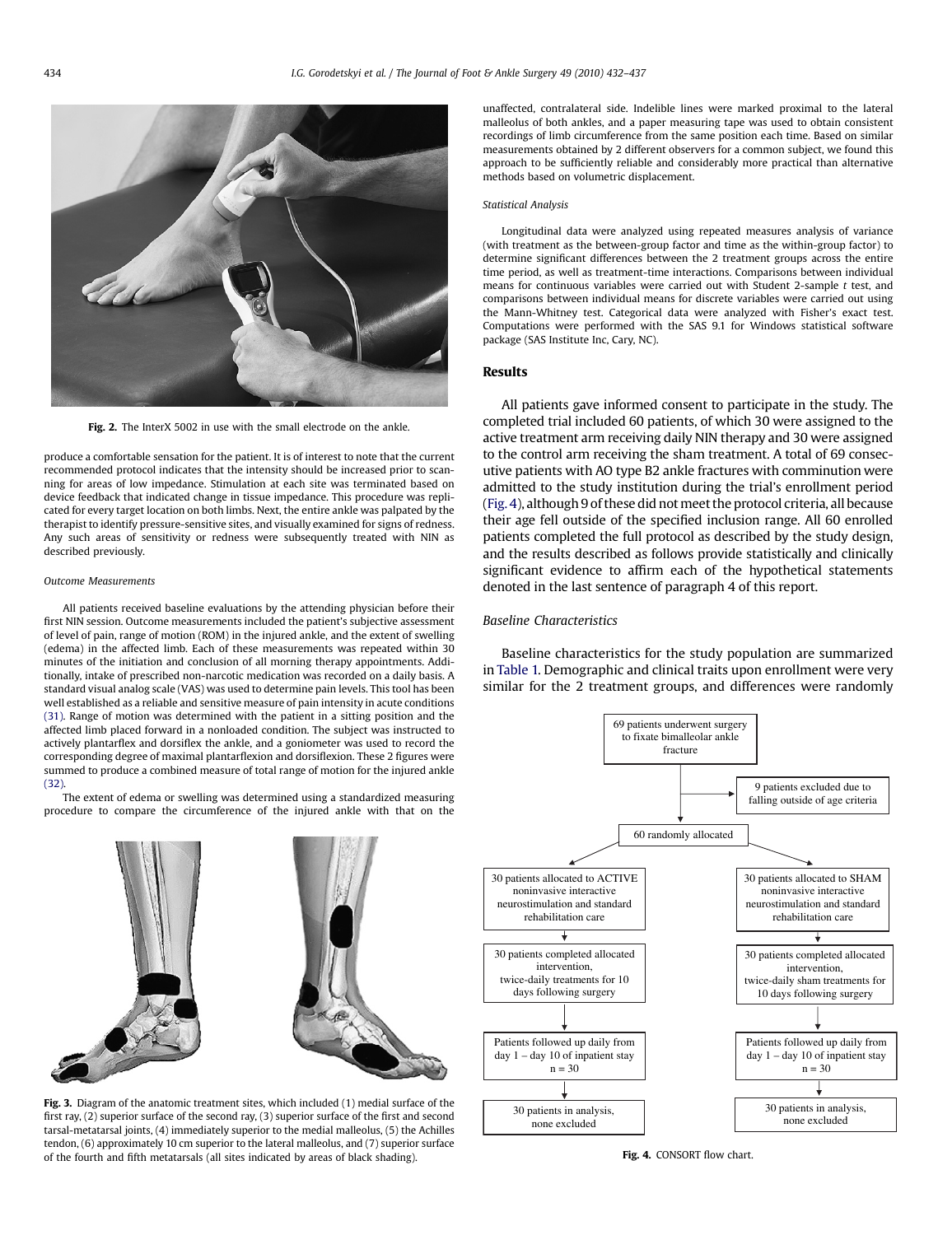<span id="page-2-0"></span>

Fig. 2. The InterX 5002 in use with the small electrode on the ankle.

produce a comfortable sensation for the patient. It is of interest to note that the current recommended protocol indicates that the intensity should be increased prior to scanning for areas of low impedance. Stimulation at each site was terminated based on device feedback that indicated change in tissue impedance. This procedure was replicated for every target location on both limbs. Next, the entire ankle was palpated by the therapist to identify pressure-sensitive sites, and visually examined for signs of redness. Any such areas of sensitivity or redness were subsequently treated with NIN as described previously.

#### Outcome Measurements

All patients received baseline evaluations by the attending physician before their first NIN session. Outcome measurements included the patient's subjective assessment of level of pain, range of motion (ROM) in the injured ankle, and the extent of swelling (edema) in the affected limb. Each of these measurements was repeated within 30 minutes of the initiation and conclusion of all morning therapy appointments. Additionally, intake of prescribed non-narcotic medication was recorded on a daily basis. A standard visual analog scale (VAS) was used to determine pain levels. This tool has been well established as a reliable and sensitive measure of pain intensity in acute conditions [\(31\)](#page-5-0). Range of motion was determined with the patient in a sitting position and the affected limb placed forward in a nonloaded condition. The subject was instructed to actively plantarflex and dorsiflex the ankle, and a goniometer was used to record the corresponding degree of maximal plantarflexion and dorsiflexion. These 2 figures were summed to produce a combined measure of total range of motion for the injured ankle  $(32)$ 

The extent of edema or swelling was determined using a standardized measuring procedure to compare the circumference of the injured ankle with that on the



Fig. 3. Diagram of the anatomic treatment sites, which included (1) medial surface of the first ray, (2) superior surface of the second ray, (3) superior surface of the first and second tarsal-metatarsal joints, (4) immediately superior to the medial malleolus, (5) the Achilles tendon, (6) approximately 10 cm superior to the lateral malleolus, and (7) superior surface of the fourth and fifth metatarsals (all sites indicated by areas of black shading).

unaffected, contralateral side. Indelible lines were marked proximal to the lateral malleolus of both ankles, and a paper measuring tape was used to obtain consistent recordings of limb circumference from the same position each time. Based on similar measurements obtained by 2 different observers for a common subject, we found this approach to be sufficiently reliable and considerably more practical than alternative methods based on volumetric displacement.

#### Statistical Analysis

Longitudinal data were analyzed using repeated measures analysis of variance (with treatment as the between-group factor and time as the within-group factor) to determine significant differences between the 2 treatment groups across the entire time period, as well as treatment-time interactions. Comparisons between individual means for continuous variables were carried out with Student 2-sample  $t$  test, and comparisons between individual means for discrete variables were carried out using the Mann-Whitney test. Categorical data were analyzed with Fisher's exact test. Computations were performed with the SAS 9.1 for Windows statistical software package (SAS Institute Inc, Cary, NC).

## Results

All patients gave informed consent to participate in the study. The completed trial included 60 patients, of which 30 were assigned to the active treatment arm receiving daily NIN therapy and 30 were assigned to the control arm receiving the sham treatment. A total of 69 consecutive patients with AO type B2 ankle fractures with comminution were admitted to the study institution during the trial's enrollment period (Fig. 4), although 9 of these did not meet the protocol criteria, all because their age fell outside of the specified inclusion range. All 60 enrolled patients completed the full protocol as described by the study design, and the results described as follows provide statistically and clinically significant evidence to affirm each of the hypothetical statements denoted in the last sentence of paragraph 4 of this report.

## Baseline Characteristics

Baseline characteristics for the study population are summarized in [Table 1.](#page-3-0) Demographic and clinical traits upon enrollment were very similar for the 2 treatment groups, and differences were randomly



Fig. 4. CONSORT flow chart.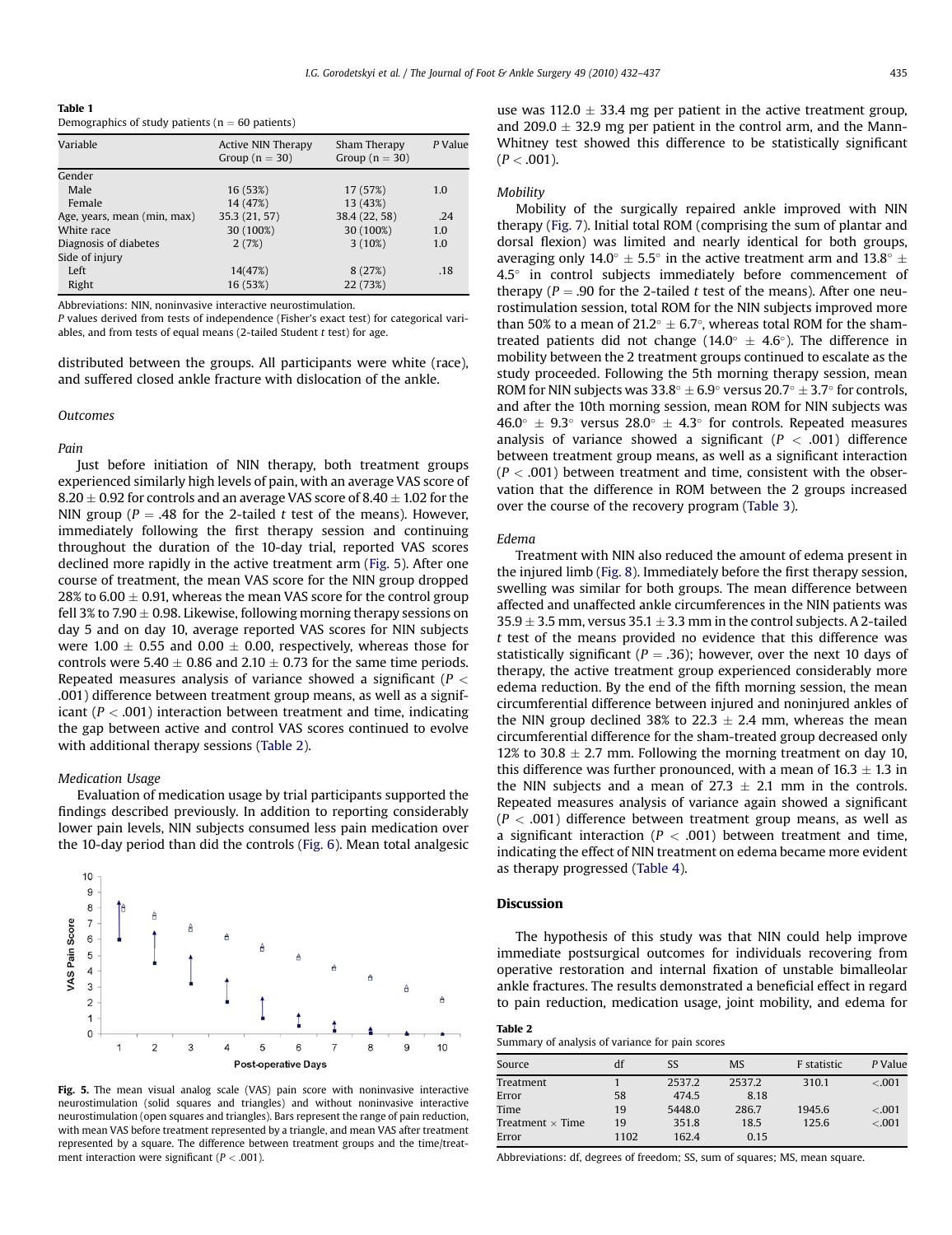<span id="page-3-0"></span>

| Table 1                                             |
|-----------------------------------------------------|
| Demographics of study patients ( $n = 60$ patients) |

| Variable                    | Active NIN Therapy<br>Group $(n = 30)$ | Sham Therapy<br>Group ( $n = 30$ ) | P Value |
|-----------------------------|----------------------------------------|------------------------------------|---------|
| Gender                      |                                        |                                    |         |
| Male                        | 16 (53%)                               | 17 (57%)                           | 1.0     |
| Female                      | 14 (47%)                               | 13 (43%)                           |         |
| Age, years, mean (min, max) | 35.3 (21, 57)                          | 38.4 (22, 58)                      | .24     |
| White race                  | 30 (100%)                              | 30 (100%)                          | 1.0     |
| Diagnosis of diabetes       | 2(7%)                                  | $3(10\%)$                          | 1.0     |
| Side of injury              |                                        |                                    |         |
| Left                        | 14(47%)                                | 8(27%)                             | .18     |
| Right                       | 16 (53%)                               | 22 (73%)                           |         |

Abbreviations: NIN, noninvasive interactive neurostimulation.

P values derived from tests of independence (Fisher's exact test) for categorical variables, and from tests of equal means (2-tailed Student  $t$  test) for age.

distributed between the groups. All participants were white (race), and suffered closed ankle fracture with dislocation of the ankle.

#### **Outcomes**

## Pain

Just before initiation of NIN therapy, both treatment groups experienced similarly high levels of pain, with an average VAS score of  $8.20 \pm 0.92$  for controls and an average VAS score of  $8.40 \pm 1.02$  for the NIN group ( $P = .48$  for the 2-tailed t test of the means). However, immediately following the first therapy session and continuing throughout the duration of the 10-day trial, reported VAS scores declined more rapidly in the active treatment arm (Fig. 5). After one course of treatment, the mean VAS score for the NIN group dropped 28% to 6.00  $\pm$  0.91, whereas the mean VAS score for the control group fell 3% to 7.90  $\pm$  0.98. Likewise, following morning therapy sessions on day 5 and on day 10, average reported VAS scores for NIN subjects were 1.00  $\pm$  0.55 and 0.00  $\pm$  0.00, respectively, whereas those for controls were  $5.40 \pm 0.86$  and  $2.10 \pm 0.73$  for the same time periods. Repeated measures analysis of variance showed a significant ( $P <$ .001) difference between treatment group means, as well as a significant ( $P < .001$ ) interaction between treatment and time, indicating the gap between active and control VAS scores continued to evolve with additional therapy sessions (Table 2).

#### Medication Usage

Evaluation of medication usage by trial participants supported the findings described previously. In addition to reporting considerably lower pain levels, NIN subjects consumed less pain medication over the 10-day period than did the controls ([Fig. 6](#page-4-0)). Mean total analgesic



Fig. 5. The mean visual analog scale (VAS) pain score with noninvasive interactive neurostimulation (solid squares and triangles) and without noninvasive interactive neurostimulation (open squares and triangles). Bars represent the range of pain reduction, with mean VAS before treatment represented by a triangle, and mean VAS after treatment represented by a square. The difference between treatment groups and the time/treatment interaction were significant ( $P < .001$ ).

use was 112.0  $\pm$  33.4 mg per patient in the active treatment group, and 209.0  $\pm$  32.9 mg per patient in the control arm, and the Mann-Whitney test showed this difference to be statistically significant  $(P < .001)$ .

## **Mobility**

Mobility of the surgically repaired ankle improved with NIN therapy [\(Fig. 7](#page-4-0)). Initial total ROM (comprising the sum of plantar and dorsal flexion) was limited and nearly identical for both groups, averaging only 14.0 $^{\circ}$   $\pm$  5.5 $^{\circ}$  in the active treatment arm and 13.8 $^{\circ}$   $\pm$ 4.5° in control subjects immediately before commencement of therapy ( $P = .90$  for the 2-tailed t test of the means). After one neurostimulation session, total ROM for the NIN subjects improved more than 50% to a mean of 21.2 $^{\circ}$   $\pm$  6.7 $^{\circ}$ , whereas total ROM for the shamtreated patients did not change (14.0 $\degree$   $\pm$  4.6 $\degree$ ). The difference in mobility between the 2 treatment groups continued to escalate as the study proceeded. Following the 5th morning therapy session, mean ROM for NIN subjects was  $33.8^{\circ} \pm 6.9^{\circ}$  versus  $20.7^{\circ} \pm 3.7^{\circ}$  for controls, and after the 10th morning session, mean ROM for NIN subjects was  $46.0^{\circ} \pm 9.3^{\circ}$  versus  $28.0^{\circ} \pm 4.3^{\circ}$  for controls. Repeated measures analysis of variance showed a significant ( $P < .001$ ) difference between treatment group means, as well as a significant interaction  $(P < .001)$  between treatment and time, consistent with the observation that the difference in ROM between the 2 groups increased over the course of the recovery program ([Table 3\)](#page-4-0).

## Edema

Treatment with NIN also reduced the amount of edema present in the injured limb ([Fig. 8\)](#page-4-0). Immediately before the first therapy session, swelling was similar for both groups. The mean difference between affected and unaffected ankle circumferences in the NIN patients was  $35.9 \pm 3.5$  mm, versus  $35.1 \pm 3.3$  mm in the control subjects. A 2-tailed t test of the means provided no evidence that this difference was statistically significant ( $P = .36$ ); however, over the next 10 days of therapy, the active treatment group experienced considerably more edema reduction. By the end of the fifth morning session, the mean circumferential difference between injured and noninjured ankles of the NIN group declined 38% to 22.3  $\pm$  2.4 mm, whereas the mean circumferential difference for the sham-treated group decreased only 12% to 30.8  $\pm$  2.7 mm. Following the morning treatment on day 10, this difference was further pronounced, with a mean of  $16.3 \pm 1.3$  in the NIN subjects and a mean of  $27.3 \pm 2.1$  mm in the controls. Repeated measures analysis of variance again showed a significant  $(P < .001)$  difference between treatment group means, as well as a significant interaction ( $P < .001$ ) between treatment and time, indicating the effect of NIN treatment on edema became more evident as therapy progressed ([Table 4\)](#page-5-0).

#### Discussion

The hypothesis of this study was that NIN could help improve immediate postsurgical outcomes for individuals recovering from operative restoration and internal fixation of unstable bimalleolar ankle fractures. The results demonstrated a beneficial effect in regard to pain reduction, medication usage, joint mobility, and edema for

| Table 2                                         |  |
|-------------------------------------------------|--|
| Summary of analysis of variance for pain scores |  |

| Source                  | df   | SS     | <b>MS</b> | <b>F</b> statistic | P Value |
|-------------------------|------|--------|-----------|--------------------|---------|
| Treatment               |      | 2537.2 | 2537.2    | 310.1              | $-.001$ |
| Error                   | 58   | 474.5  | 8.18      |                    |         |
| Time                    | 19   | 5448.0 | 286.7     | 1945.6             | $-.001$ |
| Treatment $\times$ Time | 19   | 351.8  | 18.5      | 125.6              | $-.001$ |
| Error                   | 1102 | 162.4  | 0.15      |                    |         |

Abbreviations: df, degrees of freedom; SS, sum of squares; MS, mean square.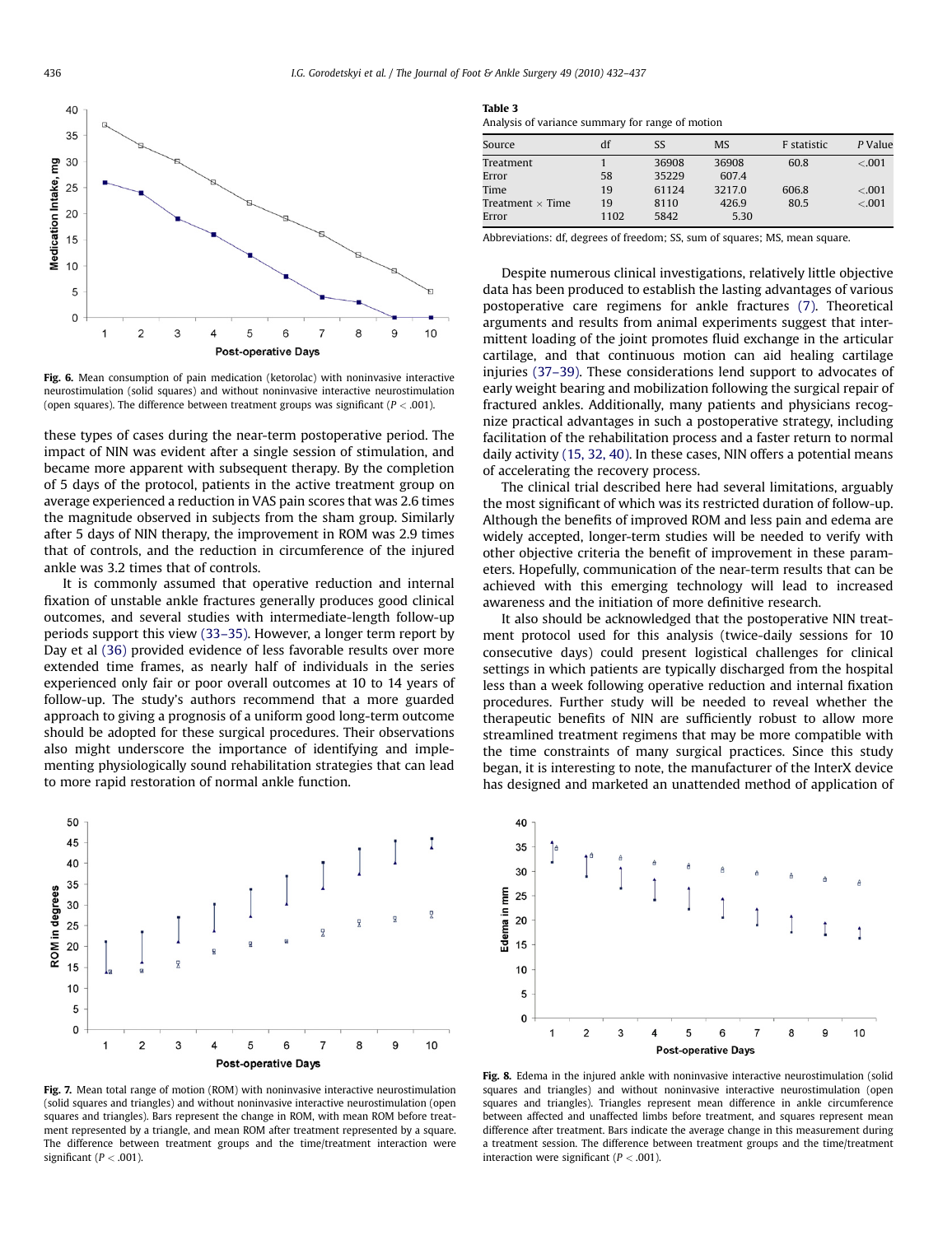<span id="page-4-0"></span>

Fig. 6. Mean consumption of pain medication (ketorolac) with noninvasive interactive neurostimulation (solid squares) and without noninvasive interactive neurostimulation (open squares). The difference between treatment groups was significant ( $P < .001$ ).

these types of cases during the near-term postoperative period. The impact of NIN was evident after a single session of stimulation, and became more apparent with subsequent therapy. By the completion of 5 days of the protocol, patients in the active treatment group on average experienced a reduction in VAS pain scores that was 2.6 times the magnitude observed in subjects from the sham group. Similarly after 5 days of NIN therapy, the improvement in ROM was 2.9 times that of controls, and the reduction in circumference of the injured ankle was 3.2 times that of controls.

It is commonly assumed that operative reduction and internal fixation of unstable ankle fractures generally produces good clinical outcomes, and several studies with intermediate-length follow-up periods support this view [\(33–35\).](#page-5-0) However, a longer term report by Day et al [\(36\)](#page-5-0) provided evidence of less favorable results over more extended time frames, as nearly half of individuals in the series experienced only fair or poor overall outcomes at 10 to 14 years of follow-up. The study's authors recommend that a more guarded approach to giving a prognosis of a uniform good long-term outcome should be adopted for these surgical procedures. Their observations also might underscore the importance of identifying and implementing physiologically sound rehabilitation strategies that can lead to more rapid restoration of normal ankle function.



Fig. 7. Mean total range of motion (ROM) with noninvasive interactive neurostimulation (solid squares and triangles) and without noninvasive interactive neurostimulation (open squares and triangles). Bars represent the change in ROM, with mean ROM before treatment represented by a triangle, and mean ROM after treatment represented by a square. The difference between treatment groups and the time/treatment interaction were significant ( $P < .001$ ).

|--|--|

Analysis of variance summary for range of motion

| Source                  | df   | SS    | <b>MS</b> | F statistic | P Value |
|-------------------------|------|-------|-----------|-------------|---------|
| Treatment               |      | 36908 | 36908     | 60.8        | $-.001$ |
| Error                   | 58   | 35229 | 607.4     |             |         |
| Time                    | 19   | 61124 | 3217.0    | 606.8       | $-.001$ |
| Treatment $\times$ Time | 19   | 8110  | 426.9     | 80.5        | $-.001$ |
| Error                   | 1102 | 5842  | 5.30      |             |         |

Abbreviations: df, degrees of freedom; SS, sum of squares; MS, mean square.

Despite numerous clinical investigations, relatively little objective data has been produced to establish the lasting advantages of various postoperative care regimens for ankle fractures [\(7\).](#page-5-0) Theoretical arguments and results from animal experiments suggest that intermittent loading of the joint promotes fluid exchange in the articular cartilage, and that continuous motion can aid healing cartilage injuries [\(37–39\)](#page-5-0). These considerations lend support to advocates of early weight bearing and mobilization following the surgical repair of fractured ankles. Additionally, many patients and physicians recognize practical advantages in such a postoperative strategy, including facilitation of the rehabilitation process and a faster return to normal daily activity [\(15, 32, 40\).](#page-5-0) In these cases, NIN offers a potential means of accelerating the recovery process.

The clinical trial described here had several limitations, arguably the most significant of which was its restricted duration of follow-up. Although the benefits of improved ROM and less pain and edema are widely accepted, longer-term studies will be needed to verify with other objective criteria the benefit of improvement in these parameters. Hopefully, communication of the near-term results that can be achieved with this emerging technology will lead to increased awareness and the initiation of more definitive research.

It also should be acknowledged that the postoperative NIN treatment protocol used for this analysis (twice-daily sessions for 10 consecutive days) could present logistical challenges for clinical settings in which patients are typically discharged from the hospital less than a week following operative reduction and internal fixation procedures. Further study will be needed to reveal whether the therapeutic benefits of NIN are sufficiently robust to allow more streamlined treatment regimens that may be more compatible with the time constraints of many surgical practices. Since this study began, it is interesting to note, the manufacturer of the InterX device has designed and marketed an unattended method of application of



Fig. 8. Edema in the injured ankle with noninvasive interactive neurostimulation (solid squares and triangles) and without noninvasive interactive neurostimulation (open squares and triangles). Triangles represent mean difference in ankle circumference between affected and unaffected limbs before treatment, and squares represent mean difference after treatment. Bars indicate the average change in this measurement during a treatment session. The difference between treatment groups and the time/treatment interaction were significant ( $P < .001$ ).